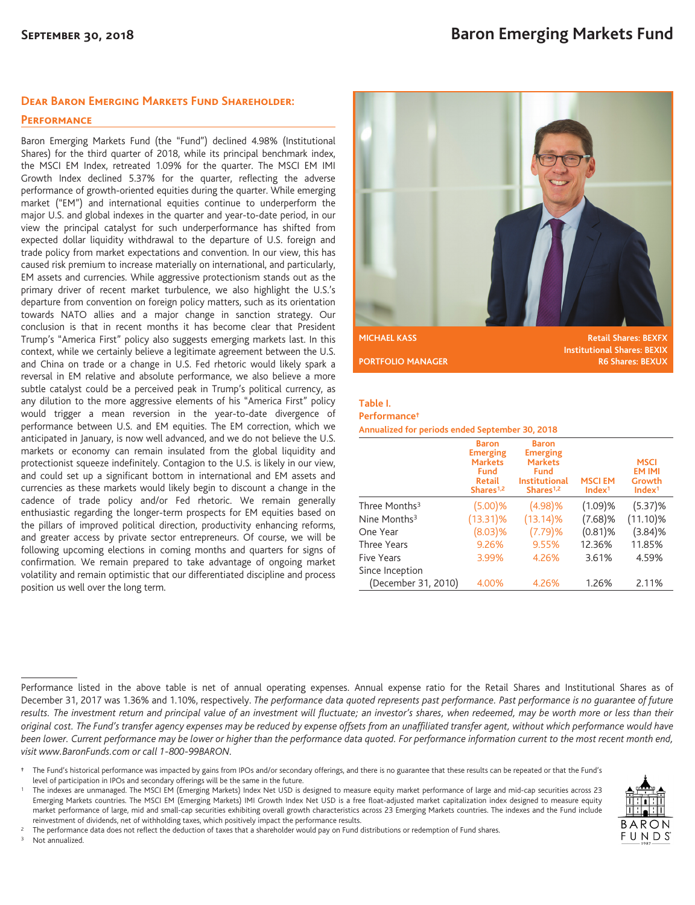#### **Dear Baron Emerging Markets Fund Shareholder:**

#### **Performance**

Baron Emerging Markets Fund (the "Fund") declined 4.98% (Institutional Shares) for the third quarter of 2018, while its principal benchmark index, the MSCI EM Index, retreated 1.09% for the quarter. The MSCI EM IMI Growth Index declined 5.37% for the quarter, reflecting the adverse performance of growth-oriented equities during the quarter. While emerging market ("EM") and international equities continue to underperform the major U.S. and global indexes in the quarter and year-to-date period, in our view the principal catalyst for such underperformance has shifted from expected dollar liquidity withdrawal to the departure of U.S. foreign and trade policy from market expectations and convention. In our view, this has caused risk premium to increase materially on international, and particularly, EM assets and currencies. While aggressive protectionism stands out as the primary driver of recent market turbulence, we also highlight the U.S.'s departure from convention on foreign policy matters, such as its orientation towards NATO allies and a major change in sanction strategy. Our conclusion is that in recent months it has become clear that President Trump's "America First" policy also suggests emerging markets last. In this context, while we certainly believe a legitimate agreement between the U.S. and China on trade or a change in U.S. Fed rhetoric would likely spark a reversal in EM relative and absolute performance, we also believe a more subtle catalyst could be a perceived peak in Trump's political currency, as any dilution to the more aggressive elements of his "America First" policy would trigger a mean reversion in the year-to-date divergence of performance between U.S. and EM equities. The EM correction, which we anticipated in January, is now well advanced, and we do not believe the U.S. markets or economy can remain insulated from the global liquidity and protectionist squeeze indefinitely. Contagion to the U.S. is likely in our view, and could set up a significant bottom in international and EM assets and currencies as these markets would likely begin to discount a change in the cadence of trade policy and/or Fed rhetoric. We remain generally enthusiastic regarding the longer-term prospects for EM equities based on the pillars of improved political direction, productivity enhancing reforms, and greater access by private sector entrepreneurs. Of course, we will be following upcoming elections in coming months and quarters for signs of confirmation. We remain prepared to take advantage of ongoing market volatility and remain optimistic that our differentiated discipline and process position us well over the long term.



**MICHAEL KASS Retail Shares: BEXFX Institutional Shares: BEXIX PORTFOLIO MANAGER R6 Shares: BEXUX** 

### **Table I.**

#### **Performance†**

**Annualized for periods ended September 30, 2018**

|                           | <b>Baron</b><br><b>Emerging</b><br><b>Markets</b><br>Fund<br><b>Retail</b><br>Shares <sup>1,2</sup> | <b>Baron</b><br><b>Emerging</b><br><b>Markets</b><br>Fund<br><b>Institutional</b><br>Shares <sup>1,2</sup> | <b>MSCIEM</b><br>Index <sup>1</sup> | <b>MSCI</b><br><b>EM IMI</b><br>Growth<br>Index <sup>1</sup> |
|---------------------------|-----------------------------------------------------------------------------------------------------|------------------------------------------------------------------------------------------------------------|-------------------------------------|--------------------------------------------------------------|
| Three Months <sup>3</sup> | (5.00)%                                                                                             | (4.98)%                                                                                                    | (1.09)%                             | (5.37)%                                                      |
| Nine Months <sup>3</sup>  | $(13.31)\%$                                                                                         | $(13.14)\%$                                                                                                | $(7.68)\%$                          | $(11.10)\%$                                                  |
| One Year                  | $(8.03)$ %                                                                                          | (7.79)%                                                                                                    | $(0.81)$ %                          | (3.84)%                                                      |
| Three Years               | 9.26%                                                                                               | 9.55%                                                                                                      | 12.36%                              | 11.85%                                                       |
| <b>Five Years</b>         | 3.99%                                                                                               | 4.26%                                                                                                      | 3.61%                               | 4.59%                                                        |
| Since Inception           |                                                                                                     |                                                                                                            |                                     |                                                              |
| (December 31, 2010)       | 4.00%                                                                                               | 4.26%                                                                                                      | 1.26%                               | 2.11%                                                        |

Performance listed in the above table is net of annual operating expenses. Annual expense ratio for the Retail Shares and Institutional Shares as of December 31, 2017 was 1.36% and 1.10%, respectively. *The performance data quoted represents past performance. Past performance is no guarantee of future results. The investment return and principal value of an investment will fluctuate; an investor's shares, when redeemed, may be worth more or less than their original cost. The Fund's transfer agency expenses may be reduced by expense offsets from an unaffiliated transfer agent, without which performance would have been lower. Current performance may be lower or higher than the performance data quoted. For performance information current to the most recent month end, visit www.BaronFunds.com or call 1-800-99BARON.*

<sup>3</sup> Not annualized.



**<sup>†</sup>** The Fund's historical performance was impacted by gains from IPOs and/or secondary offerings, and there is no guarantee that these results can be repeated or that the Fund's level of participation in IPOs and secondary offerings will be the same in the future.

<sup>1</sup> The indexes are unmanaged. The MSCI EM (Emerging Markets) Index Net USD is designed to measure equity market performance of large and mid-cap securities across 23 Emerging Markets countries. The MSCI EM (Emerging Markets) IMI Growth Index Net USD is a free float-adjusted market capitalization index designed to measure equity market performance of large, mid and small-cap securities exhibiting overall growth characteristics across 23 Emerging Markets countries. The indexes and the Fund include reinvestment of dividends, net of withholding taxes, which positively impact the performance results.

<sup>2</sup> The performance data does not reflect the deduction of taxes that a shareholder would pay on Fund distributions or redemption of Fund shares.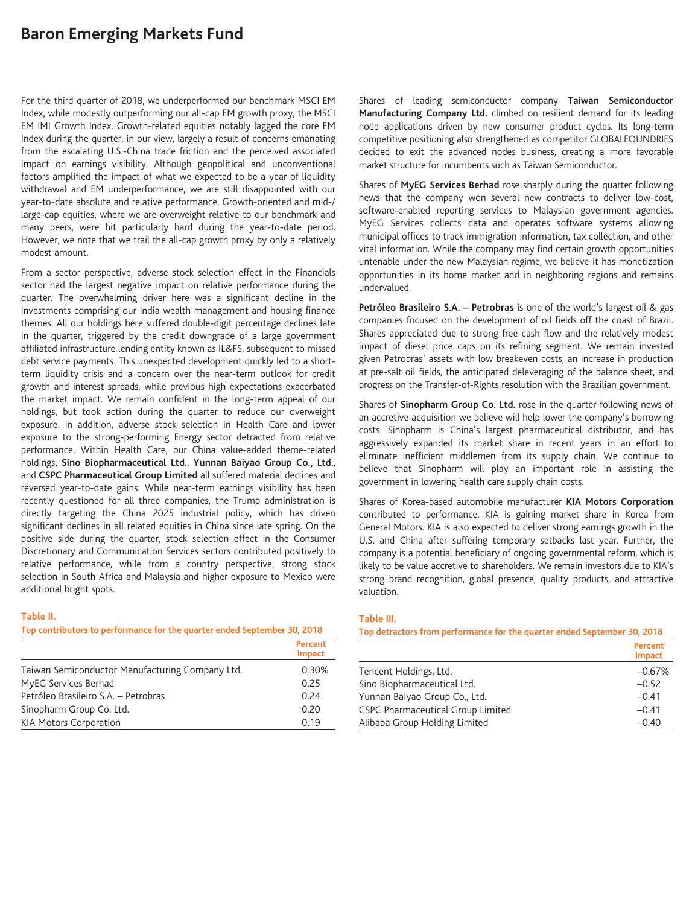# **Baron Emerging Markets Fund**

For the third quarter of 2018, we underperformed our benchmark MSCI EM Index, while modestly outperforming our all-cap EM growth proxy, the MSCI EM IMI Growth Index. Growth-related equities notably lagged the core EM Index during the quarter, in our view, largely a result of concerns emanating from the escalating U.S.-China trade friction and the perceived associated impact on earnings visibility. Although geopolitical and unconventional factors amplified the impact of what we expected to be a year of liquidity withdrawal and EM underperformance, we are still disappointed with our year-to-date absolute and relative performance. Growth-oriented and mid-/ large-cap equities, where we are overweight relative to our benchmark and many peers, were hit particularly hard during the year-to-date period. However, we note that we trail the all-cap growth proxy by only a relatively modest amount.

From a sector perspective, adverse stock selection effect in the Financials sector had the largest negative impact on relative performance during the quarter. The overwhelming driver here was a significant decline in the investments comprising our India wealth management and housing finance themes. All our holdings here suffered double-digit percentage declines late in the quarter, triggered by the credit downgrade of a large government affiliated infrastructure lending entity known as IL&FS, subsequent to missed debt service payments. This unexpected development quickly led to a shortterm liquidity crisis and a concern over the near-term outlook for credit growth and interest spreads, while previous high expectations exacerbated the market impact. We remain confident in the long-term appeal of our holdings, but took action during the quarter to reduce our overweight exposure. In addition, adverse stock selection in Health Care and lower exposure to the strong-performing Energy sector detracted from relative performance. Within Health Care, our China value-added theme-related holdings, **Sino Biopharmaceutical Ltd.**, **Yunnan Baiyao Group Co., Ltd.**, and **CSPC Pharmaceutical Group Limited** all suffered material declines and reversed year-to-date gains. While near-term earnings visibility has been recently questioned for all three companies, the Trump administration is directly targeting the China 2025 industrial policy, which has driven significant declines in all related equities in China since late spring. On the positive side during the quarter, stock selection effect in the Consumer Discretionary and Communication Services sectors contributed positively to relative performance, while from a country perspective, strong stock selection in South Africa and Malaysia and higher exposure to Mexico were additional bright spots.

#### **Table II.**

**Top contributors to performance for the quarter ended September 30, 2018**

|                                                 | <b>Percent</b><br><b>Impact</b> |
|-------------------------------------------------|---------------------------------|
| Taiwan Semiconductor Manufacturing Company Ltd. | 0.30%                           |
| MyEG Services Berhad                            | 0.25                            |
| Petróleo Brasileiro S.A. - Petrobras            | 0.24                            |
| Sinopharm Group Co. Ltd.                        | 0.20                            |
| <b>KIA Motors Corporation</b>                   | 0.19                            |

Shares of leading semiconductor company **Taiwan Semiconductor Manufacturing Company Ltd.** climbed on resilient demand for its leading node applications driven by new consumer product cycles. Its long-term competitive positioning also strengthened as competitor GLOBALFOUNDRIES decided to exit the advanced nodes business, creating a more favorable market structure for incumbents such as Taiwan Semiconductor.

Shares of **MyEG Services Berhad** rose sharply during the quarter following news that the company won several new contracts to deliver low-cost, software-enabled reporting services to Malaysian government agencies. MyEG Services collects data and operates software systems allowing municipal offices to track immigration information, tax collection, and other vital information. While the company may find certain growth opportunities untenable under the new Malaysian regime, we believe it has monetization opportunities in its home market and in neighboring regions and remains undervalued.

**Petróleo Brasileiro S.A. – Petrobras** is one of the world's largest oil & gas companies focused on the development of oil fields off the coast of Brazil. Shares appreciated due to strong free cash flow and the relatively modest impact of diesel price caps on its refining segment. We remain invested given Petrobras' assets with low breakeven costs, an increase in production at pre-salt oil fields, the anticipated deleveraging of the balance sheet, and progress on the Transfer-of-Rights resolution with the Brazilian government.

Shares of **Sinopharm Group Co. Ltd.** rose in the quarter following news of an accretive acquisition we believe will help lower the company's borrowing costs. Sinopharm is China's largest pharmaceutical distributor, and has aggressively expanded its market share in recent years in an effort to eliminate inefficient middlemen from its supply chain. We continue to believe that Sinopharm will play an important role in assisting the government in lowering health care supply chain costs.

Shares of Korea-based automobile manufacturer **KIA Motors Corporation** contributed to performance. KIA is gaining market share in Korea from General Motors. KIA is also expected to deliver strong earnings growth in the U.S. and China after suffering temporary setbacks last year. Further, the company is a potential beneficiary of ongoing governmental reform, which is likely to be value accretive to shareholders. We remain investors due to KIA's strong brand recognition, global presence, quality products, and attractive valuation.

#### **Table III.**

**Top detractors from performance for the quarter ended September 30, 2018**

|                                   | Percent<br><b>Impact</b> |
|-----------------------------------|--------------------------|
| Tencent Holdings, Ltd.            | $-0.67%$                 |
| Sino Biopharmaceutical Ltd.       | $-0.52$                  |
| Yunnan Baiyao Group Co., Ltd.     | $-0.41$                  |
| CSPC Pharmaceutical Group Limited | $-0.41$                  |
| Alibaba Group Holding Limited     | $-0.40$                  |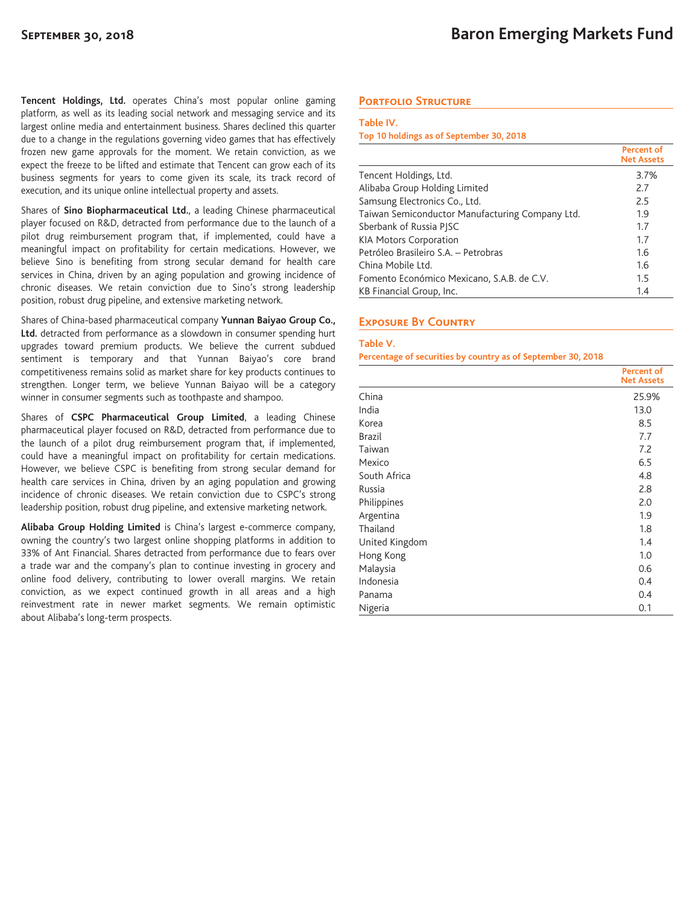**Tencent Holdings, Ltd.** operates China's most popular online gaming platform, as well as its leading social network and messaging service and its largest online media and entertainment business. Shares declined this quarter due to a change in the regulations governing video games that has effectively frozen new game approvals for the moment. We retain conviction, as we expect the freeze to be lifted and estimate that Tencent can grow each of its business segments for years to come given its scale, its track record of execution, and its unique online intellectual property and assets.

Shares of **Sino Biopharmaceutical Ltd.**, a leading Chinese pharmaceutical player focused on R&D, detracted from performance due to the launch of a pilot drug reimbursement program that, if implemented, could have a meaningful impact on profitability for certain medications. However, we believe Sino is benefiting from strong secular demand for health care services in China, driven by an aging population and growing incidence of chronic diseases. We retain conviction due to Sino's strong leadership position, robust drug pipeline, and extensive marketing network.

Shares of China-based pharmaceutical company **Yunnan Baiyao Group Co., Ltd.** detracted from performance as a slowdown in consumer spending hurt upgrades toward premium products. We believe the current subdued sentiment is temporary and that Yunnan Baiyao's core brand competitiveness remains solid as market share for key products continues to strengthen. Longer term, we believe Yunnan Baiyao will be a category winner in consumer segments such as toothpaste and shampoo.

Shares of **CSPC Pharmaceutical Group Limited**, a leading Chinese pharmaceutical player focused on R&D, detracted from performance due to the launch of a pilot drug reimbursement program that, if implemented, could have a meaningful impact on profitability for certain medications. However, we believe CSPC is benefiting from strong secular demand for health care services in China, driven by an aging population and growing incidence of chronic diseases. We retain conviction due to CSPC's strong leadership position, robust drug pipeline, and extensive marketing network.

**Alibaba Group Holding Limited** is China's largest e-commerce company, owning the country's two largest online shopping platforms in addition to 33% of Ant Financial. Shares detracted from performance due to fears over a trade war and the company's plan to continue investing in grocery and online food delivery, contributing to lower overall margins. We retain conviction, as we expect continued growth in all areas and a high reinvestment rate in newer market segments. We remain optimistic about Alibaba's long-term prospects.

## **Portfolio Structure**

#### **Table IV.**

**Top 10 holdings as of September 30, 2018**

|                                                 | Percent of<br><b>Net Assets</b> |
|-------------------------------------------------|---------------------------------|
| Tencent Holdings, Ltd.                          | 3.7%                            |
| Alibaba Group Holding Limited                   | 2.7                             |
| Samsung Electronics Co., Ltd.                   | 2.5                             |
| Taiwan Semiconductor Manufacturing Company Ltd. | 1.9                             |
| Sberbank of Russia PJSC                         | 1.7                             |
| <b>KIA Motors Corporation</b>                   | 1.7                             |
| Petróleo Brasileiro S.A. - Petrobras            | 1.6                             |
| China Mobile Ltd.                               | 1.6                             |
| Fomento Económico Mexicano, S.A.B. de C.V.      | 1.5                             |
| KB Financial Group, Inc.                        | 1.4                             |

## **Exposure By Country**

#### **Table V.**

**Percentage of securities by country as of September 30, 2018**

|                | <b>Percent of</b><br><b>Net Assets</b> |
|----------------|----------------------------------------|
| China          | 25.9%                                  |
| India          | 13.0                                   |
| Korea          | 8.5                                    |
| <b>Brazil</b>  | 7.7                                    |
| Taiwan         | 7.2                                    |
| Mexico         | 6.5                                    |
| South Africa   | 4.8                                    |
| Russia         | 2.8                                    |
| Philippines    | 2.0                                    |
| Argentina      | 1.9                                    |
| Thailand       | 1.8                                    |
| United Kingdom | 1.4                                    |
| Hong Kong      | 1.0                                    |
| Malaysia       | 0.6                                    |
| Indonesia      | 0.4                                    |
| Panama         | 0.4                                    |
| Nigeria        | 0.1                                    |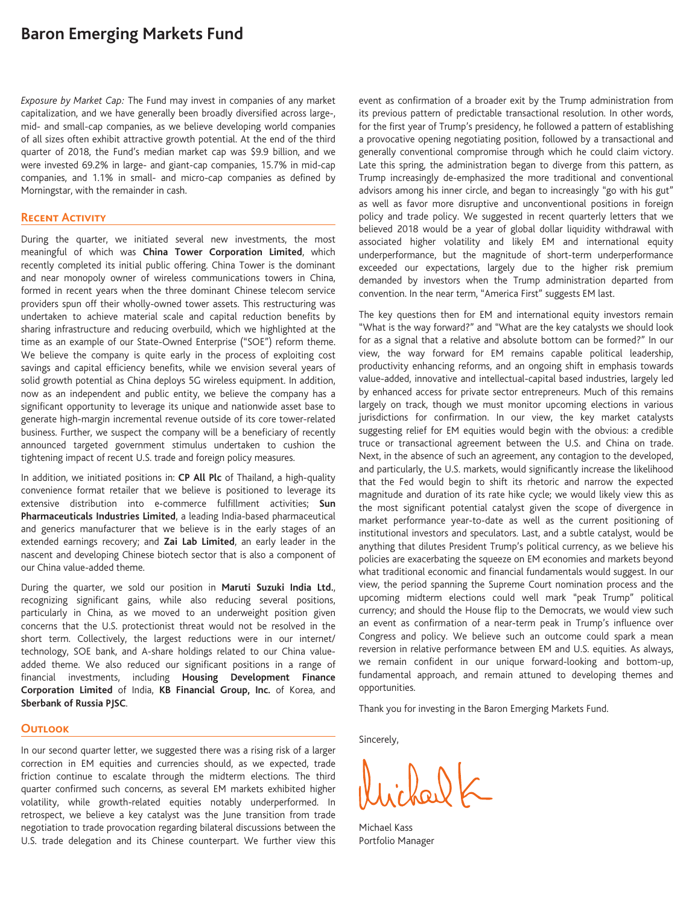# **Baron Emerging Markets Fund**

*Exposure by Market Cap:* The Fund may invest in companies of any market capitalization, and we have generally been broadly diversified across large-, mid- and small-cap companies, as we believe developing world companies of all sizes often exhibit attractive growth potential. At the end of the third quarter of 2018, the Fund's median market cap was \$9.9 billion, and we were invested 69.2% in large- and giant-cap companies, 15.7% in mid-cap companies, and 1.1% in small- and micro-cap companies as defined by Morningstar, with the remainder in cash.

## **Recent Activity**

During the quarter, we initiated several new investments, the most meaningful of which was **China Tower Corporation Limited**, which recently completed its initial public offering. China Tower is the dominant and near monopoly owner of wireless communications towers in China, formed in recent years when the three dominant Chinese telecom service providers spun off their wholly-owned tower assets. This restructuring was undertaken to achieve material scale and capital reduction benefits by sharing infrastructure and reducing overbuild, which we highlighted at the time as an example of our State-Owned Enterprise ("SOE") reform theme. We believe the company is quite early in the process of exploiting cost savings and capital efficiency benefits, while we envision several years of solid growth potential as China deploys 5G wireless equipment. In addition, now as an independent and public entity, we believe the company has a significant opportunity to leverage its unique and nationwide asset base to generate high-margin incremental revenue outside of its core tower-related business. Further, we suspect the company will be a beneficiary of recently announced targeted government stimulus undertaken to cushion the tightening impact of recent U.S. trade and foreign policy measures.

In addition, we initiated positions in: **CP All Plc** of Thailand, a high-quality convenience format retailer that we believe is positioned to leverage its extensive distribution into e-commerce fulfillment activities; **Sun Pharmaceuticals Industries Limited**, a leading India-based pharmaceutical and generics manufacturer that we believe is in the early stages of an extended earnings recovery; and **Zai Lab Limited**, an early leader in the nascent and developing Chinese biotech sector that is also a component of our China value-added theme.

During the quarter, we sold our position in **Maruti Suzuki India Ltd.**, recognizing significant gains, while also reducing several positions, particularly in China, as we moved to an underweight position given concerns that the U.S. protectionist threat would not be resolved in the short term. Collectively, the largest reductions were in our internet/ technology, SOE bank, and A-share holdings related to our China valueadded theme. We also reduced our significant positions in a range of financial investments, including **Housing Development Finance Corporation Limited** of India, **KB Financial Group, Inc.** of Korea, and **Sberbank of Russia PJSC**.

## **Outlook**

In our second quarter letter, we suggested there was a rising risk of a larger correction in EM equities and currencies should, as we expected, trade friction continue to escalate through the midterm elections. The third quarter confirmed such concerns, as several EM markets exhibited higher volatility, while growth-related equities notably underperformed. In retrospect, we believe a key catalyst was the June transition from trade negotiation to trade provocation regarding bilateral discussions between the U.S. trade delegation and its Chinese counterpart. We further view this event as confirmation of a broader exit by the Trump administration from its previous pattern of predictable transactional resolution. In other words, for the first year of Trump's presidency, he followed a pattern of establishing a provocative opening negotiating position, followed by a transactional and generally conventional compromise through which he could claim victory. Late this spring, the administration began to diverge from this pattern, as Trump increasingly de-emphasized the more traditional and conventional advisors among his inner circle, and began to increasingly "go with his gut" as well as favor more disruptive and unconventional positions in foreign policy and trade policy. We suggested in recent quarterly letters that we believed 2018 would be a year of global dollar liquidity withdrawal with associated higher volatility and likely EM and international equity underperformance, but the magnitude of short-term underperformance exceeded our expectations, largely due to the higher risk premium demanded by investors when the Trump administration departed from convention. In the near term, "America First" suggests EM last.

The key questions then for EM and international equity investors remain "What is the way forward?" and "What are the key catalysts we should look for as a signal that a relative and absolute bottom can be formed?" In our view, the way forward for EM remains capable political leadership, productivity enhancing reforms, and an ongoing shift in emphasis towards value-added, innovative and intellectual-capital based industries, largely led by enhanced access for private sector entrepreneurs. Much of this remains largely on track, though we must monitor upcoming elections in various jurisdictions for confirmation. In our view, the key market catalysts suggesting relief for EM equities would begin with the obvious: a credible truce or transactional agreement between the U.S. and China on trade. Next, in the absence of such an agreement, any contagion to the developed, and particularly, the U.S. markets, would significantly increase the likelihood that the Fed would begin to shift its rhetoric and narrow the expected magnitude and duration of its rate hike cycle; we would likely view this as the most significant potential catalyst given the scope of divergence in market performance year-to-date as well as the current positioning of institutional investors and speculators. Last, and a subtle catalyst, would be anything that dilutes President Trump's political currency, as we believe his policies are exacerbating the squeeze on EM economies and markets beyond what traditional economic and financial fundamentals would suggest. In our view, the period spanning the Supreme Court nomination process and the upcoming midterm elections could well mark "peak Trump" political currency; and should the House flip to the Democrats, we would view such an event as confirmation of a near-term peak in Trump's influence over Congress and policy. We believe such an outcome could spark a mean reversion in relative performance between EM and U.S. equities. As always, we remain confident in our unique forward-looking and bottom-up, fundamental approach, and remain attuned to developing themes and opportunities.

Thank you for investing in the Baron Emerging Markets Fund.

Sincerely,

 $\lambda_0$ 

Michael Kass Portfolio Manager